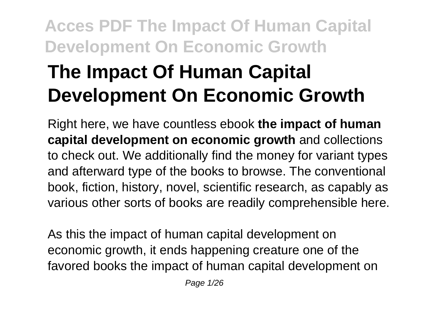# **The Impact Of Human Capital Development On Economic Growth**

Right here, we have countless ebook **the impact of human capital development on economic growth** and collections to check out. We additionally find the money for variant types and afterward type of the books to browse. The conventional book, fiction, history, novel, scientific research, as capably as various other sorts of books are readily comprehensible here.

As this the impact of human capital development on economic growth, it ends happening creature one of the favored books the impact of human capital development on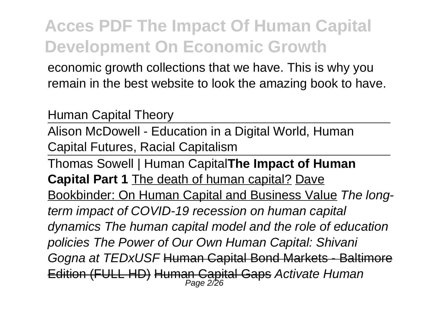economic growth collections that we have. This is why you remain in the best website to look the amazing book to have.

Human Capital Theory

Alison McDowell - Education in a Digital World, Human Capital Futures, Racial Capitalism

Thomas Sowell | Human Capital**The Impact of Human Capital Part 1** The death of human capital? Dave Bookbinder: On Human Capital and Business Value The longterm impact of COVID-19 recession on human capital dynamics The human capital model and the role of education policies The Power of Our Own Human Capital: Shivani Gogna at TEDxUSF Human Capital Bond Markets - Baltimore Edition (FULL HD) Human Capital Gaps *Activate Human*<br>Page 2/26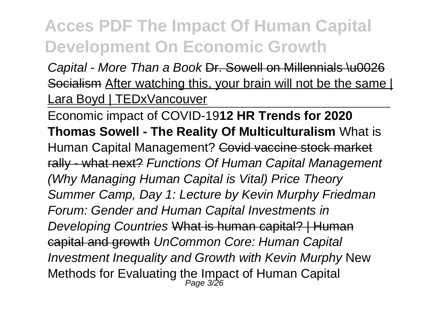Capital - More Than a Book Dr. Sowell on Millennials \u0026 Socialism After watching this, your brain will not be the same I Lara Boyd | TEDxVancouver

Economic impact of COVID-19**12 HR Trends for 2020 Thomas Sowell - The Reality Of Multiculturalism** What is Human Capital Management? Covid vaccine stock market rally - what next? Functions Of Human Capital Management (Why Managing Human Capital is Vital) Price Theory Summer Camp, Day 1: Lecture by Kevin Murphy Friedman Forum: Gender and Human Capital Investments in Developing Countries What is human capital? | Human capital and growth UnCommon Core: Human Capital Investment Inequality and Growth with Kevin Murphy New Methods for Evaluating the Impact of Human Capital  $_{Page 326}^{Page 326}$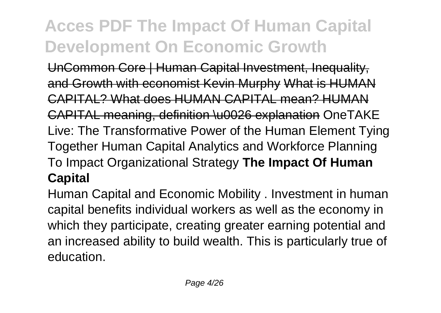UnCommon Core | Human Capital Investment, Inequality, and Growth with economist Kevin Murphy What is HUMAN CAPITAL? What does HUMAN CAPITAL mean? HUMAN CAPITAL meaning, definition \u0026 explanation OneTAKE Live: The Transformative Power of the Human Element Tying Together Human Capital Analytics and Workforce Planning To Impact Organizational Strategy **The Impact Of Human Capital**

Human Capital and Economic Mobility . Investment in human capital benefits individual workers as well as the economy in which they participate, creating greater earning potential and an increased ability to build wealth. This is particularly true of education.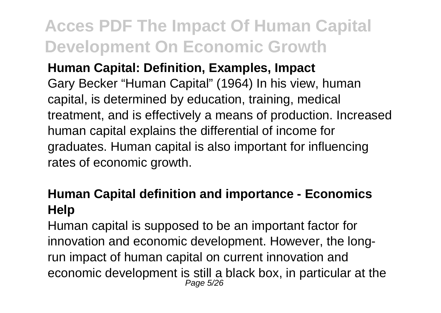### **Human Capital: Definition, Examples, Impact**

Gary Becker "Human Capital" (1964) In his view, human capital, is determined by education, training, medical treatment, and is effectively a means of production. Increased human capital explains the differential of income for graduates. Human capital is also important for influencing rates of economic growth.

### **Human Capital definition and importance - Economics Help**

Human capital is supposed to be an important factor for innovation and economic development. However, the longrun impact of human capital on current innovation and economic development is still a black box, in particular at the Page 5/26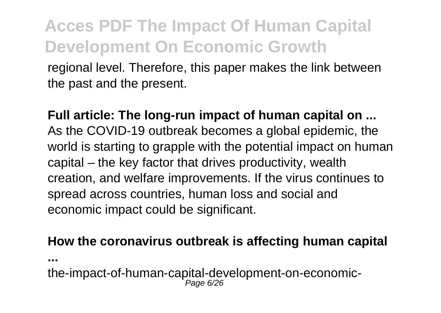regional level. Therefore, this paper makes the link between the past and the present.

**Full article: The long-run impact of human capital on ...** As the COVID-19 outbreak becomes a global epidemic, the world is starting to grapple with the potential impact on human capital – the key factor that drives productivity, wealth creation, and welfare improvements. If the virus continues to spread across countries, human loss and social and economic impact could be significant.

#### **How the coronavirus outbreak is affecting human capital**

**...**

the-impact-of-human-capital-development-on-economic-Page 6/26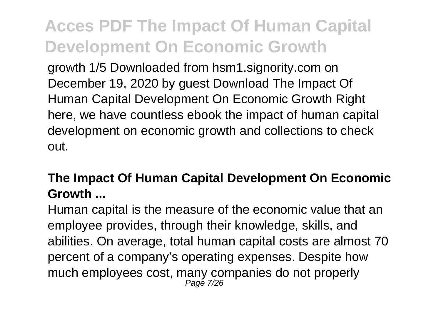growth 1/5 Downloaded from hsm1.signority.com on December 19, 2020 by guest Download The Impact Of Human Capital Development On Economic Growth Right here, we have countless ebook the impact of human capital development on economic growth and collections to check out.

### **The Impact Of Human Capital Development On Economic Growth ...**

Human capital is the measure of the economic value that an employee provides, through their knowledge, skills, and abilities. On average, total human capital costs are almost 70 percent of a company's operating expenses. Despite how much employees cost, many companies do not properly Page 7/26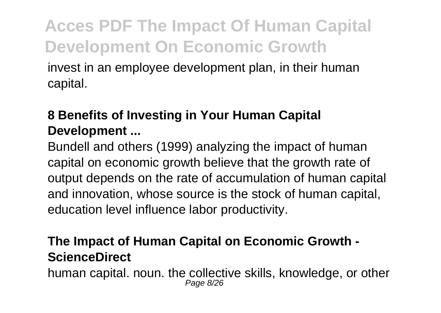invest in an employee development plan, in their human capital.

### **8 Benefits of Investing in Your Human Capital Development ...**

Bundell and others (1999) analyzing the impact of human capital on economic growth believe that the growth rate of output depends on the rate of accumulation of human capital and innovation, whose source is the stock of human capital, education level influence labor productivity.

### **The Impact of Human Capital on Economic Growth - ScienceDirect**

human capital. noun. the collective skills, knowledge, or other Page 8/26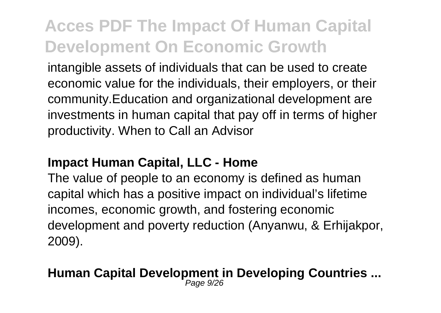intangible assets of individuals that can be used to create economic value for the individuals, their employers, or their community.Education and organizational development are investments in human capital that pay off in terms of higher productivity. When to Call an Advisor

#### **Impact Human Capital, LLC - Home**

The value of people to an economy is defined as human capital which has a positive impact on individual's lifetime incomes, economic growth, and fostering economic development and poverty reduction (Anyanwu, & Erhijakpor, 2009).

#### **Human Capital Development in Developing Countries ...** Page 9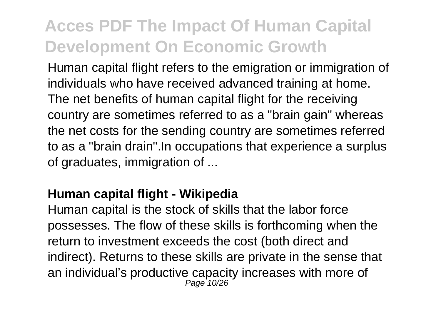Human capital flight refers to the emigration or immigration of individuals who have received advanced training at home. The net benefits of human capital flight for the receiving country are sometimes referred to as a "brain gain" whereas the net costs for the sending country are sometimes referred to as a "brain drain".In occupations that experience a surplus of graduates, immigration of ...

#### **Human capital flight - Wikipedia**

Human capital is the stock of skills that the labor force possesses. The flow of these skills is forthcoming when the return to investment exceeds the cost (both direct and indirect). Returns to these skills are private in the sense that an individual's productive capacity increases with more of Page 10/26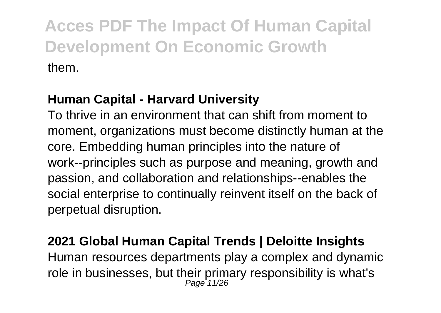### **Human Capital - Harvard University**

To thrive in an environment that can shift from moment to moment, organizations must become distinctly human at the core. Embedding human principles into the nature of work--principles such as purpose and meaning, growth and passion, and collaboration and relationships--enables the social enterprise to continually reinvent itself on the back of perpetual disruption.

#### **2021 Global Human Capital Trends | Deloitte Insights**

Human resources departments play a complex and dynamic role in businesses, but their primary responsibility is what's<br> $_{Page 11/26}^{Page 11/26}$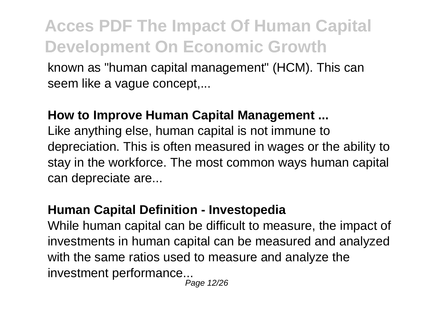known as "human capital management" (HCM). This can seem like a vague concept....

#### **How to Improve Human Capital Management ...**

Like anything else, human capital is not immune to depreciation. This is often measured in wages or the ability to stay in the workforce. The most common ways human capital can depreciate are...

### **Human Capital Definition - Investopedia**

While human capital can be difficult to measure, the impact of investments in human capital can be measured and analyzed with the same ratios used to measure and analyze the investment performance...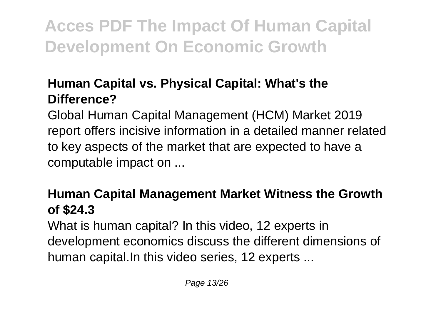### **Human Capital vs. Physical Capital: What's the Difference?**

Global Human Capital Management (HCM) Market 2019 report offers incisive information in a detailed manner related to key aspects of the market that are expected to have a computable impact on ...

### **Human Capital Management Market Witness the Growth of \$24.3**

What is human capital? In this video, 12 experts in development economics discuss the different dimensions of human capital.In this video series, 12 experts ...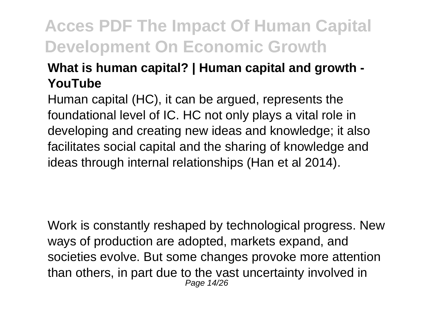### **What is human capital? | Human capital and growth - YouTube**

Human capital (HC), it can be argued, represents the foundational level of IC. HC not only plays a vital role in developing and creating new ideas and knowledge; it also facilitates social capital and the sharing of knowledge and ideas through internal relationships (Han et al 2014).

Work is constantly reshaped by technological progress. New ways of production are adopted, markets expand, and societies evolve. But some changes provoke more attention than others, in part due to the vast uncertainty involved in Page 14/26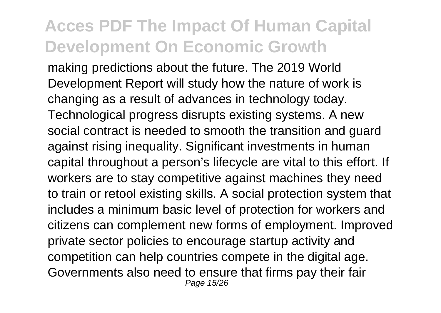making predictions about the future. The 2019 World Development Report will study how the nature of work is changing as a result of advances in technology today. Technological progress disrupts existing systems. A new social contract is needed to smooth the transition and guard against rising inequality. Significant investments in human capital throughout a person's lifecycle are vital to this effort. If workers are to stay competitive against machines they need to train or retool existing skills. A social protection system that includes a minimum basic level of protection for workers and citizens can complement new forms of employment. Improved private sector policies to encourage startup activity and competition can help countries compete in the digital age. Governments also need to ensure that firms pay their fair Page 15/26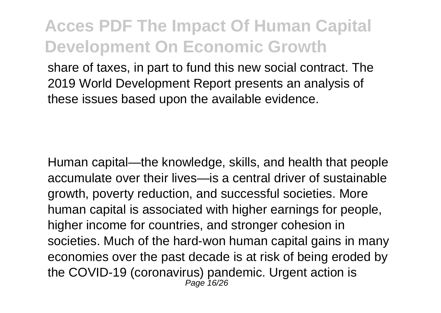share of taxes, in part to fund this new social contract. The 2019 World Development Report presents an analysis of these issues based upon the available evidence.

Human capital—the knowledge, skills, and health that people accumulate over their lives—is a central driver of sustainable growth, poverty reduction, and successful societies. More human capital is associated with higher earnings for people, higher income for countries, and stronger cohesion in societies. Much of the hard-won human capital gains in many economies over the past decade is at risk of being eroded by the COVID-19 (coronavirus) pandemic. Urgent action is Page 16/26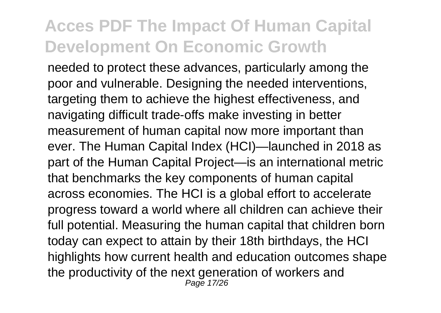needed to protect these advances, particularly among the poor and vulnerable. Designing the needed interventions, targeting them to achieve the highest effectiveness, and navigating difficult trade-offs make investing in better measurement of human capital now more important than ever. The Human Capital Index (HCI)—launched in 2018 as part of the Human Capital Project—is an international metric that benchmarks the key components of human capital across economies. The HCI is a global effort to accelerate progress toward a world where all children can achieve their full potential. Measuring the human capital that children born today can expect to attain by their 18th birthdays, the HCI highlights how current health and education outcomes shape the productivity of the next generation of workers and Page 17/26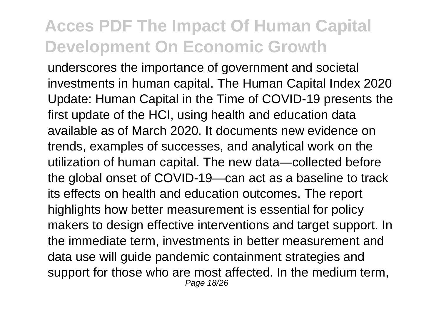underscores the importance of government and societal investments in human capital. The Human Capital Index 2020 Update: Human Capital in the Time of COVID-19 presents the first update of the HCI, using health and education data available as of March 2020. It documents new evidence on trends, examples of successes, and analytical work on the utilization of human capital. The new data—collected before the global onset of COVID-19—can act as a baseline to track its effects on health and education outcomes. The report highlights how better measurement is essential for policy makers to design effective interventions and target support. In the immediate term, investments in better measurement and data use will guide pandemic containment strategies and support for those who are most affected. In the medium term, Page 18/26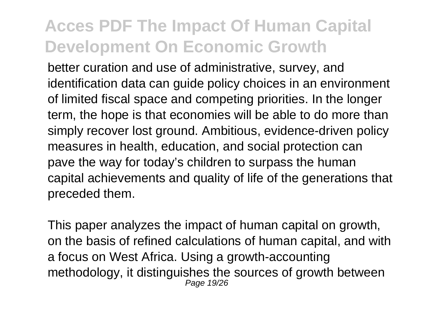better curation and use of administrative, survey, and identification data can guide policy choices in an environment of limited fiscal space and competing priorities. In the longer term, the hope is that economies will be able to do more than simply recover lost ground. Ambitious, evidence-driven policy measures in health, education, and social protection can pave the way for today's children to surpass the human capital achievements and quality of life of the generations that preceded them.

This paper analyzes the impact of human capital on growth. on the basis of refined calculations of human capital, and with a focus on West Africa. Using a growth-accounting methodology, it distinguishes the sources of growth between Page 19/26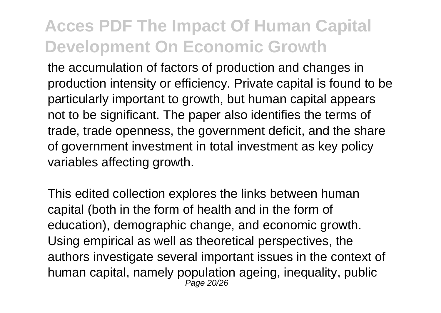the accumulation of factors of production and changes in production intensity or efficiency. Private capital is found to be particularly important to growth, but human capital appears not to be significant. The paper also identifies the terms of trade, trade openness, the government deficit, and the share of government investment in total investment as key policy variables affecting growth.

This edited collection explores the links between human capital (both in the form of health and in the form of education), demographic change, and economic growth. Using empirical as well as theoretical perspectives, the authors investigate several important issues in the context of human capital, namely population ageing, inequality, public Page 20/26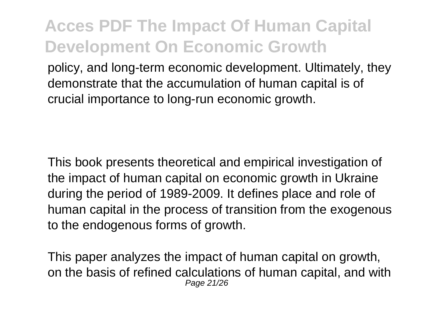policy, and long-term economic development. Ultimately, they demonstrate that the accumulation of human capital is of crucial importance to long-run economic growth.

This book presents theoretical and empirical investigation of the impact of human capital on economic growth in Ukraine during the period of 1989-2009. It defines place and role of human capital in the process of transition from the exogenous to the endogenous forms of growth.

This paper analyzes the impact of human capital on growth, on the basis of refined calculations of human capital, and with Page 21/26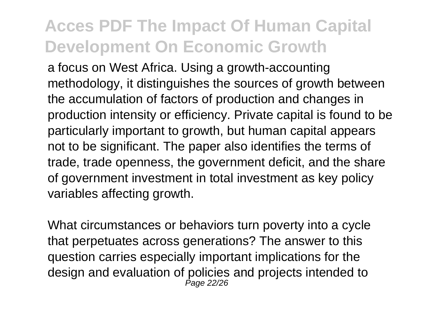a focus on West Africa. Using a growth-accounting methodology, it distinguishes the sources of growth between the accumulation of factors of production and changes in production intensity or efficiency. Private capital is found to be particularly important to growth, but human capital appears not to be significant. The paper also identifies the terms of trade, trade openness, the government deficit, and the share of government investment in total investment as key policy variables affecting growth.

What circumstances or behaviors turn poverty into a cycle that perpetuates across generations? The answer to this question carries especially important implications for the design and evaluation of policies and projects intended to Page 22/26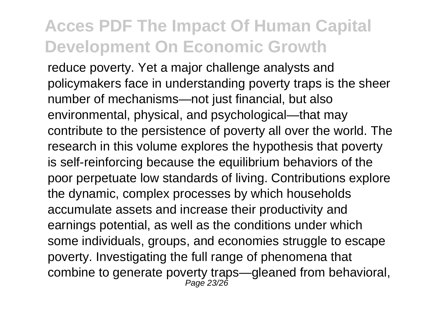reduce poverty. Yet a major challenge analysts and policymakers face in understanding poverty traps is the sheer number of mechanisms—not just financial, but also environmental, physical, and psychological—that may contribute to the persistence of poverty all over the world. The research in this volume explores the hypothesis that poverty is self-reinforcing because the equilibrium behaviors of the poor perpetuate low standards of living. Contributions explore the dynamic, complex processes by which households accumulate assets and increase their productivity and earnings potential, as well as the conditions under which some individuals, groups, and economies struggle to escape poverty. Investigating the full range of phenomena that combine to generate poverty traps—gleaned from behavioral, Page 23/26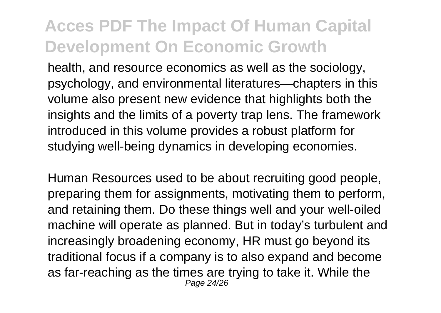health, and resource economics as well as the sociology, psychology, and environmental literatures—chapters in this volume also present new evidence that highlights both the insights and the limits of a poverty trap lens. The framework introduced in this volume provides a robust platform for studying well-being dynamics in developing economies.

Human Resources used to be about recruiting good people, preparing them for assignments, motivating them to perform, and retaining them. Do these things well and your well-oiled machine will operate as planned. But in today's turbulent and increasingly broadening economy, HR must go beyond its traditional focus if a company is to also expand and become as far-reaching as the times are trying to take it. While the Page 24/26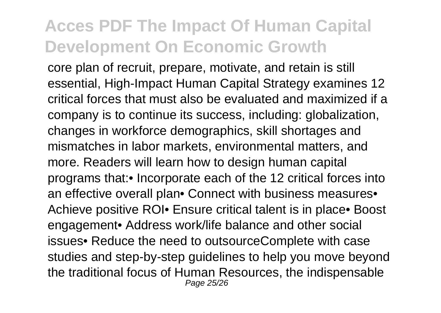core plan of recruit, prepare, motivate, and retain is still essential, High-Impact Human Capital Strategy examines 12 critical forces that must also be evaluated and maximized if a company is to continue its success, including: globalization, changes in workforce demographics, skill shortages and mismatches in labor markets, environmental matters, and more. Readers will learn how to design human capital programs that:• Incorporate each of the 12 critical forces into an effective overall plan• Connect with business measures• Achieve positive ROI• Ensure critical talent is in place• Boost engagement• Address work/life balance and other social issues• Reduce the need to outsourceComplete with case studies and step-by-step guidelines to help you move beyond the traditional focus of Human Resources, the indispensable Page 25/26